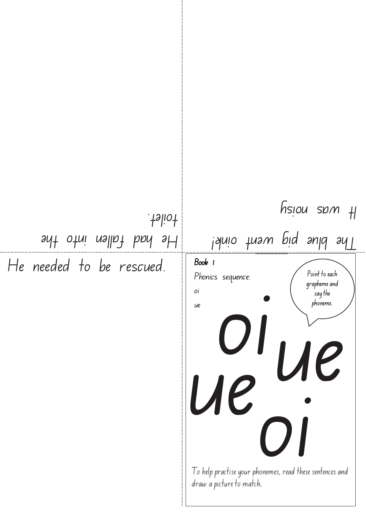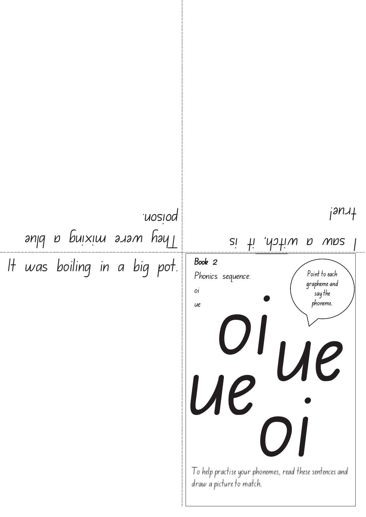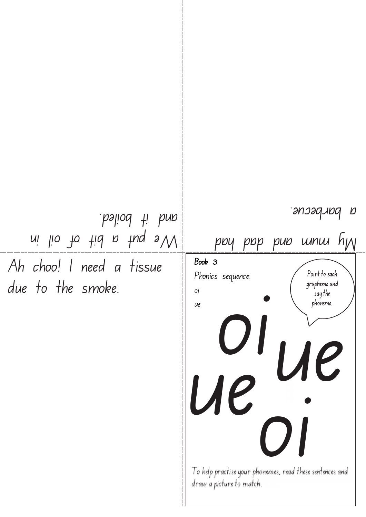Ah choo! I need a tissue due to the smoke.  $\nu$ i lio to tid a tug s $\nu$ and it boiled.